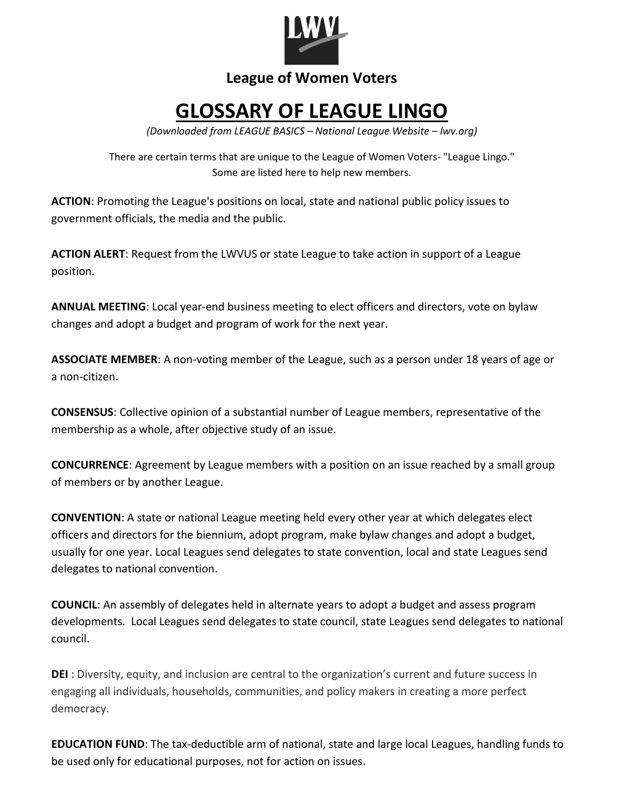

## **League of Women Voters**

## **GLOSSARY OF LEAGUE LINGO**

*(Downloaded from LEAGUE BASICS – National League Website – lwv.org)*

There are certain terms that are unique to the League of Women Voters- "League Lingo." Some are listed here to help new members.

**ACTION**: Promoting the League's positions on local, state and national public policy issues to government officials, the media and the public.

**ACTION ALERT**: Request from the LWVUS or state League to take action in support of a League position.

**ANNUAL MEETING**: Local year-end business meeting to elect officers and directors, vote on bylaw changes and adopt a budget and program of work for the next year.

**ASSOCIATE MEMBER**: A non-voting member of the League, such as a person under 18 years of age or a non-citizen.

**CONSENSUS**: Collective opinion of a substantial number of League members, representative of the membership as a whole, after objective study of an issue.

**CONCURRENCE**: Agreement by League members with a position on an issue reached by a small group of members or by another League.

**CONVENTION**: A state or national League meeting held every other year at which delegates elect officers and directors for the biennium, adopt program, make bylaw changes and adopt a budget, usually for one year. Local Leagues send delegates to state convention, local and state Leagues send delegates to national convention.

**COUNCIL**: An assembly of delegates held in alternate years to adopt a budget and assess program developments. Local Leagues send delegates to state council, state Leagues send delegates to national council.

**DEI** : Diversity, equity, and inclusion are central to the organization's current and future success in engaging all individuals, households, communities, and policy makers in creating a more perfect democracy.

**EDUCATION FUND**: The tax-deductible arm of national, state and large local Leagues, handling funds to be used only for educational purposes, not for action on issues.